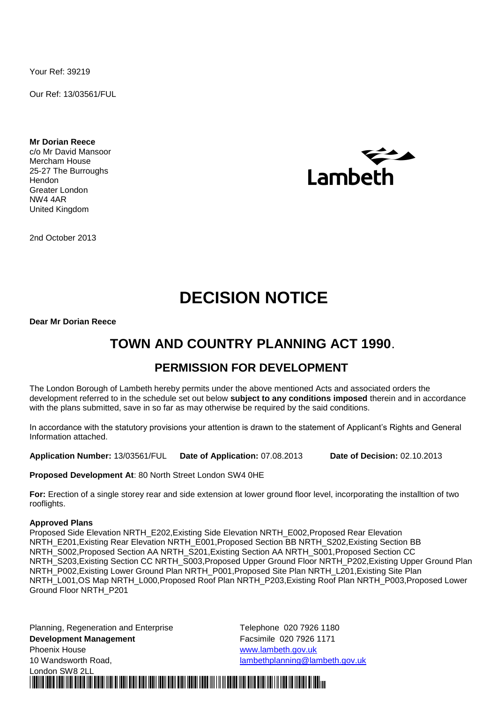Your Ref: 39219

Our Ref: 13/03561/FUL

**Mr Dorian Reece** c/o Mr David Mansoor Mercham House 25-27 The Burroughs Hendon Greater London NW4 4AR United Kingdom



2nd October 2013

# **DECISION NOTICE**

**Dear Mr Dorian Reece**

### **TOWN AND COUNTRY PLANNING ACT 1990**.

### **PERMISSION FOR DEVELOPMENT**

The London Borough of Lambeth hereby permits under the above mentioned Acts and associated orders the development referred to in the schedule set out below **subject to any conditions imposed** therein and in accordance with the plans submitted, save in so far as may otherwise be required by the said conditions.

In accordance with the statutory provisions your attention is drawn to the statement of Applicant's Rights and General Information attached.

**Application Number:** 13/03561/FUL **Date of Application:** 07.08.2013 **Date of Decision:** 02.10.2013

\*DECISION\* \*\* \*13/03561/FUL\*

**Proposed Development At**: 80 North Street London SW4 0HE

**For:** Erection of a single storey rear and side extension at lower ground floor level, incorporating the installtion of two rooflights.

### **Approved Plans**

Proposed Side Elevation NRTH\_E202,Existing Side Elevation NRTH\_E002,Proposed Rear Elevation NRTH\_E201,Existing Rear Elevation NRTH\_E001,Proposed Section BB NRTH\_S202,Existing Section BB NRTH\_S002,Proposed Section AA NRTH\_S201,Existing Section AA NRTH\_S001,Proposed Section CC NRTH\_S203,Existing Section CC NRTH\_S003,Proposed Upper Ground Floor NRTH\_P202,Existing Upper Ground Plan NRTH\_P002, Existing Lower Ground Plan NRTH\_P001, Proposed Site Plan NRTH\_L201, Existing Site Plan NRTH\_L001,OS Map NRTH\_L000,Proposed Roof Plan NRTH\_P203,Existing Roof Plan NRTH\_P003,Proposed Lower Ground Floor NRTH\_P201

Planning, Regeneration and Enterprise Telephone 020 7926 1180 **Development Management Facsimile 020 7926 1171** Phoenix House **WARD CONTENTS** WAS MOVING WARD WARD WARD WAS MOVING WARD WARD WARD WAS MADE ON A VEHICLE OF THE ST 10 Wandsworth Road, lambethplanning@lambeth.gov.uk London SW8 2LL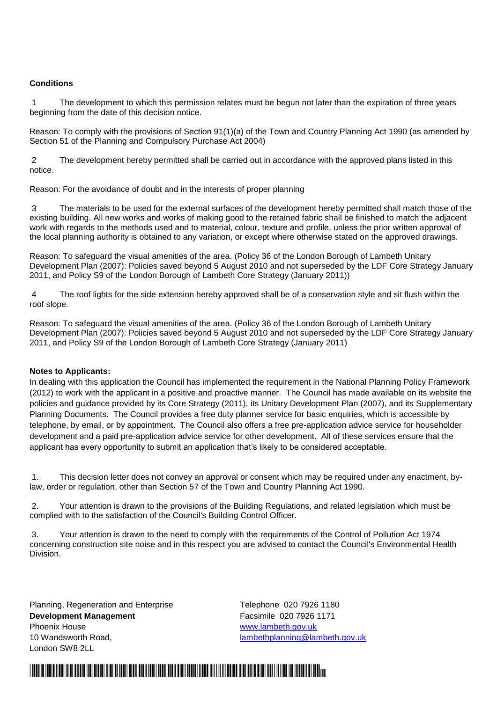### **Conditions**

1 The development to which this permission relates must be begun not later than the expiration of three years beginning from the date of this decision notice.

Reason: To comply with the provisions of Section 91(1)(a) of the Town and Country Planning Act 1990 (as amended by Section 51 of the Planning and Compulsory Purchase Act 2004)

2 The development hereby permitted shall be carried out in accordance with the approved plans listed in this notice.

Reason: For the avoidance of doubt and in the interests of proper planning

3 The materials to be used for the external surfaces of the development hereby permitted shall match those of the existing building. All new works and works of making good to the retained fabric shall be finished to match the adjacent work with regards to the methods used and to material, colour, texture and profile, unless the prior written approval of the local planning authority is obtained to any variation, or except where otherwise stated on the approved drawings.

Reason: To safeguard the visual amenities of the area. (Policy 36 of the London Borough of Lambeth Unitary Development Plan (2007): Policies saved beyond 5 August 2010 and not superseded by the LDF Core Strategy January 2011, and Policy S9 of the London Borough of Lambeth Core Strategy (January 2011))

4 The roof lights for the side extension hereby approved shall be of a conservation style and sit flush within the roof slope.

Reason: To safeguard the visual amenities of the area. (Policy 36 of the London Borough of Lambeth Unitary Development Plan (2007): Policies saved beyond 5 August 2010 and not superseded by the LDF Core Strategy January 2011, and Policy S9 of the London Borough of Lambeth Core Strategy (January 2011)

### **Notes to Applicants:**

In dealing with this application the Council has implemented the requirement in the National Planning Policy Framework (2012) to work with the applicant in a positive and proactive manner. The Council has made available on its website the policies and guidance provided by its Core Strategy (2011), its Unitary Development Plan (2007), and its Supplementary Planning Documents. The Council provides a free duty planner service for basic enquiries, which is accessible by telephone, by email, or by appointment. The Council also offers a free pre-application advice service for householder development and a paid pre-application advice service for other development. All of these services ensure that the applicant has every opportunity to submit an application that's likely to be considered acceptable.

1. This decision letter does not convey an approval or consent which may be required under any enactment, bylaw, order or regulation, other than Section 57 of the Town and Country Planning Act 1990.

2. Your attention is drawn to the provisions of the Building Regulations, and related legislation which must be complied with to the satisfaction of the Council's Building Control Officer.

3. Your attention is drawn to the need to comply with the requirements of the Control of Pollution Act 1974 concerning construction site noise and in this respect you are advised to contact the Council's Environmental Health Division.

Planning, Regeneration and Enterprise Telephone 020 7926 1180 **Development Management Facsimile 020 7926 1171** Phoenix House **WARD CONTENTS** WWW.lambeth.gov.uk 10 Wandsworth Road, lambethplanning@lambeth.gov.uk London SW8 2LL

## \*DECISION\* \*\* \*13/03561/FUL\*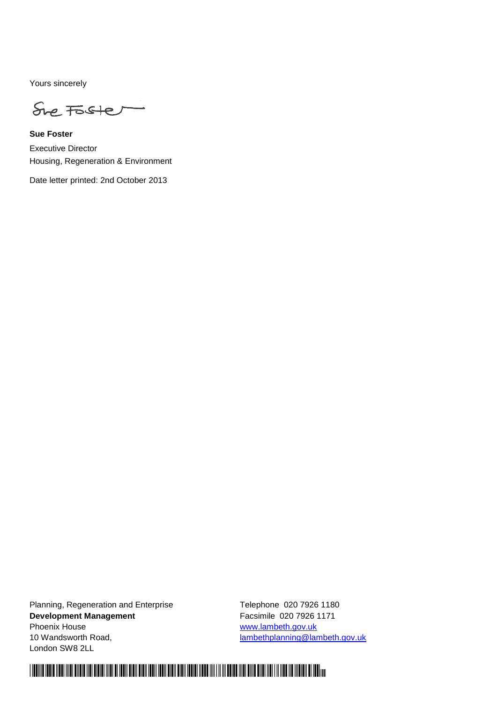Yours sincerely

She Foster

**Sue Foster** Executive Director Housing, Regeneration & Environment

Date letter printed: 2nd October 2013

Planning, Regeneration and Enterprise Telephone 020 7926 1180 **Development Management Facsimile 020 7926 1171** Phoenix House **WARD CONTENT WAS SEXUAL TO A WARD WARD WAS A** WARD WARD WAS A WARD WARD ON A WARD ON A WARD ON A WA 10 Wandsworth Road, lambethplanning@lambeth.gov.uk London SW8 2LL